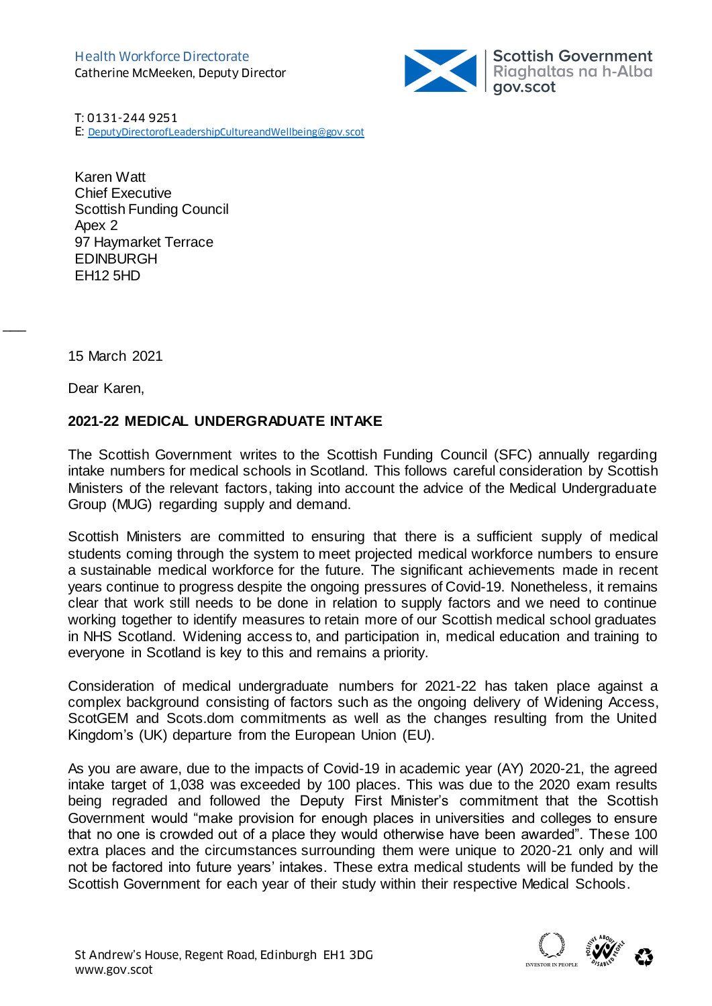

T: 0131-244 9251 E: [DeputyDirectorofLeadershipCultureandWellbeing@gov.scot](mailto:DeputyDirectorofLeadershipCultureandWellbeing@gov.scot)

Karen Watt Chief Executive Scottish Funding Council Apex 2 97 Haymarket Terrace EDINBURGH EH12 5HD

15 March 2021

Dear Karen,

 $\overline{\phantom{a}}$ 

## **2021-22 MEDICAL UNDERGRADUATE INTAKE**

The Scottish Government writes to the Scottish Funding Council (SFC) annually regarding intake numbers for medical schools in Scotland. This follows careful consideration by Scottish Ministers of the relevant factors, taking into account the advice of the Medical Undergraduate Group (MUG) regarding supply and demand.

Scottish Ministers are committed to ensuring that there is a sufficient supply of medical students coming through the system to meet projected medical workforce numbers to ensure a sustainable medical workforce for the future. The significant achievements made in recent years continue to progress despite the ongoing pressures of Covid-19. Nonetheless, it remains clear that work still needs to be done in relation to supply factors and we need to continue working together to identify measures to retain more of our Scottish medical school graduates in NHS Scotland. Widening access to, and participation in, medical education and training to everyone in Scotland is key to this and remains a priority.

Consideration of medical undergraduate numbers for 2021-22 has taken place against a complex background consisting of factors such as the ongoing delivery of Widening Access, ScotGEM and Scots.dom commitments as well as the changes resulting from the United Kingdom's (UK) departure from the European Union (EU).

As you are aware, due to the impacts of Covid-19 in academic year (AY) 2020-21, the agreed intake target of 1,038 was exceeded by 100 places. This was due to the 2020 exam results being regraded and followed the Deputy First Minister's commitment that the Scottish Government would "make provision for enough places in universities and colleges to ensure that no one is crowded out of a place they would otherwise have been awarded". These 100 extra places and the circumstances surrounding them were unique to 2020-21 only and will not be factored into future years' intakes. These extra medical students will be funded by the Scottish Government for each year of their study within their respective Medical Schools.

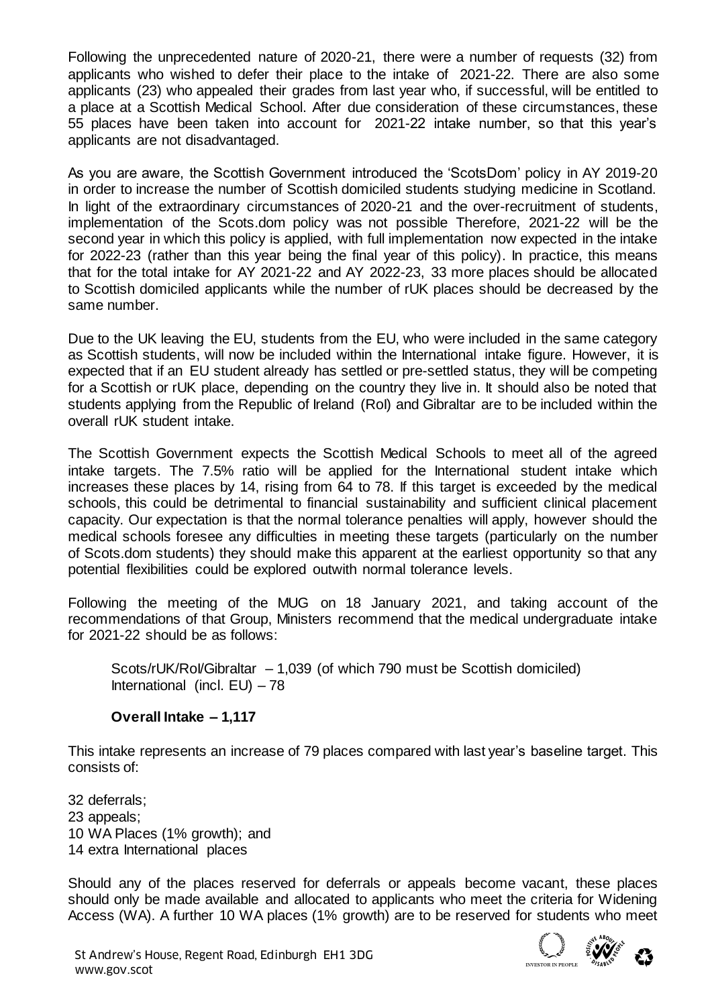Following the unprecedented nature of 2020-21, there were a number of requests (32) from applicants who wished to defer their place to the intake of 2021-22. There are also some applicants (23) who appealed their grades from last year who, if successful, will be entitled to a place at a Scottish Medical School. After due consideration of these circumstances, these 55 places have been taken into account for 2021-22 intake number, so that this year's applicants are not disadvantaged.

As you are aware, the Scottish Government introduced the 'ScotsDom' policy in AY 2019-20 in order to increase the number of Scottish domiciled students studying medicine in Scotland. In light of the extraordinary circumstances of 2020-21 and the over-recruitment of students, implementation of the Scots.dom policy was not possible Therefore, 2021-22 will be the second year in which this policy is applied, with full implementation now expected in the intake for 2022-23 (rather than this year being the final year of this policy). In practice, this means that for the total intake for AY 2021-22 and AY 2022-23, 33 more places should be allocated to Scottish domiciled applicants while the number of rUK places should be decreased by the same number.

Due to the UK leaving the EU, students from the EU, who were included in the same category as Scottish students, will now be included within the International intake figure. However, it is expected that if an EU student already has settled or pre-settled status, they will be competing for a Scottish or rUK place, depending on the country they live in. It should also be noted that students applying from the Republic of Ireland (RoI) and Gibraltar are to be included within the overall rUK student intake.

The Scottish Government expects the Scottish Medical Schools to meet all of the agreed intake targets. The 7.5% ratio will be applied for the International student intake which increases these places by 14, rising from 64 to 78. If this target is exceeded by the medical schools, this could be detrimental to financial sustainability and sufficient clinical placement capacity. Our expectation is that the normal tolerance penalties will apply, however should the medical schools foresee any difficulties in meeting these targets (particularly on the number of Scots.dom students) they should make this apparent at the earliest opportunity so that any potential flexibilities could be explored outwith normal tolerance levels.

Following the meeting of the MUG on 18 January 2021, and taking account of the recommendations of that Group, Ministers recommend that the medical undergraduate intake for 2021-22 should be as follows:

Scots/rUK/Rol/Gibraltar – 1,039 (of which 790 must be Scottish domiciled) International (incl.  $EU$ ) – 78

## **Overall Intake – 1,117**

This intake represents an increase of 79 places compared with last year's baseline target. This consists of:

32 deferrals; 23 appeals; 10 WA Places (1% growth); and 14 extra International places

Should any of the places reserved for deferrals or appeals become vacant, these places should only be made available and allocated to applicants who meet the criteria for Widening Access (WA). A further 10 WA places (1% growth) are to be reserved for students who meet